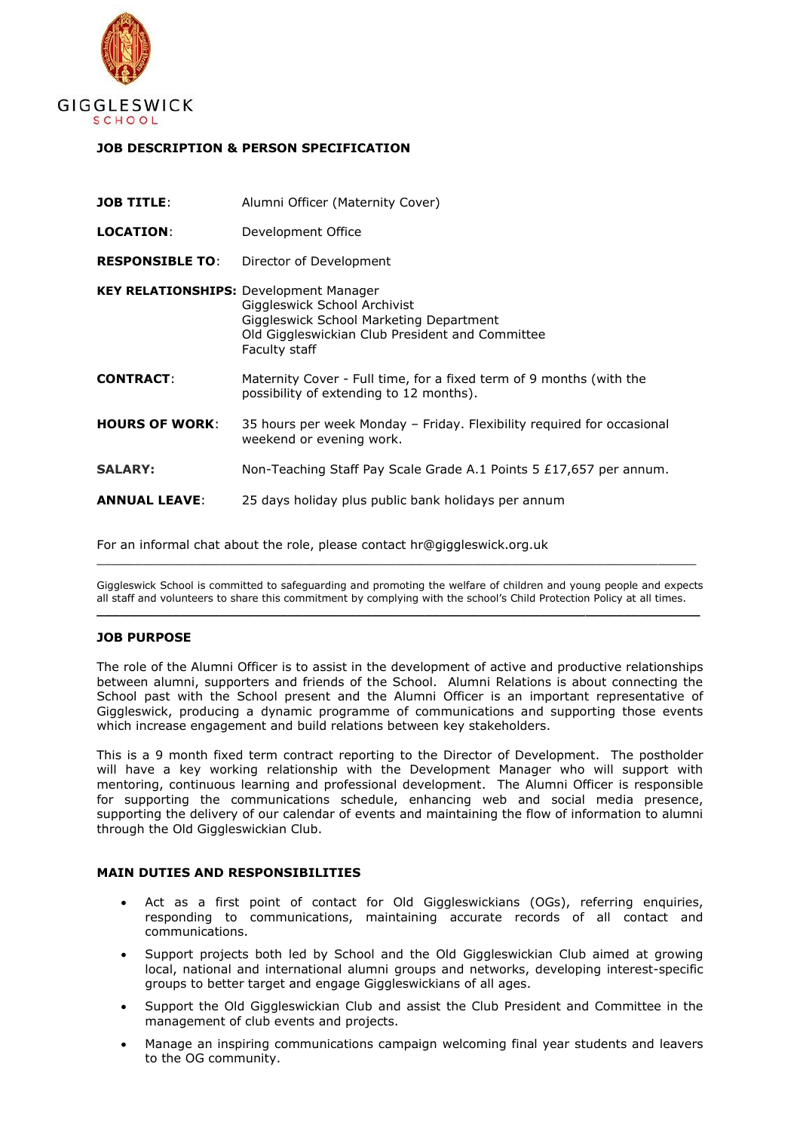

## **JOB DESCRIPTION & PERSON SPECIFICATION**

| <b>JOB TITLE:</b>                             | Alumni Officer (Maternity Cover)                                                                                                            |
|-----------------------------------------------|---------------------------------------------------------------------------------------------------------------------------------------------|
| <b>LOCATION:</b>                              | Development Office                                                                                                                          |
| <b>RESPONSIBLE TO:</b>                        | Director of Development                                                                                                                     |
| <b>KEY RELATIONSHIPS: Development Manager</b> | Giggleswick School Archivist<br>Giggleswick School Marketing Department<br>Old Giggleswickian Club President and Committee<br>Faculty staff |
| <b>CONTRACT:</b>                              | Maternity Cover - Full time, for a fixed term of 9 months (with the<br>possibility of extending to 12 months).                              |
| <b>HOURS OF WORK:</b>                         | 35 hours per week Monday – Friday. Flexibility required for occasional<br>weekend or evening work.                                          |
| <b>SALARY:</b>                                | Non-Teaching Staff Pay Scale Grade A.1 Points 5 $£17,657$ per annum.                                                                        |
| <b>ANNUAL LEAVE:</b>                          | 25 days holiday plus public bank holidays per annum                                                                                         |

For an informal chat about the role, please contact hr@giggleswick.org.uk

Giggleswick School is committed to safeguarding and promoting the welfare of children and young people and expects all staff and volunteers to share this commitment by complying with the school's Child Protection Policy at all times. **\_\_\_\_\_\_\_\_\_\_\_\_\_\_\_\_\_\_\_\_\_\_\_\_\_\_\_\_\_\_\_\_\_\_\_\_\_\_\_\_\_\_\_\_\_\_\_\_\_\_\_\_\_\_\_\_\_\_\_\_\_\_\_\_\_\_\_\_\_\_\_\_\_\_\_\_\_\_\_**

 $\_$  , and the set of the set of the set of the set of the set of the set of the set of the set of the set of the set of the set of the set of the set of the set of the set of the set of the set of the set of the set of th

## **JOB PURPOSE**

The role of the Alumni Officer is to assist in the development of active and productive relationships between alumni, supporters and friends of the School. Alumni Relations is about connecting the School past with the School present and the Alumni Officer is an important representative of Giggleswick, producing a dynamic programme of communications and supporting those events which increase engagement and build relations between key stakeholders.

This is a 9 month fixed term contract reporting to the Director of Development. The postholder will have a key working relationship with the Development Manager who will support with mentoring, continuous learning and professional development. The Alumni Officer is responsible for supporting the communications schedule, enhancing web and social media presence, supporting the delivery of our calendar of events and maintaining the flow of information to alumni through the Old Giggleswickian Club.

## **MAIN DUTIES AND RESPONSIBILITIES**

- Act as a first point of contact for Old Giggleswickians (OGs), referring enquiries, responding to communications, maintaining accurate records of all contact and communications.
- Support projects both led by School and the Old Giggleswickian Club aimed at growing local, national and international alumni groups and networks, developing interest-specific groups to better target and engage Giggleswickians of all ages.
- Support the Old Giggleswickian Club and assist the Club President and Committee in the management of club events and projects.
- Manage an inspiring communications campaign welcoming final year students and leavers to the OG community.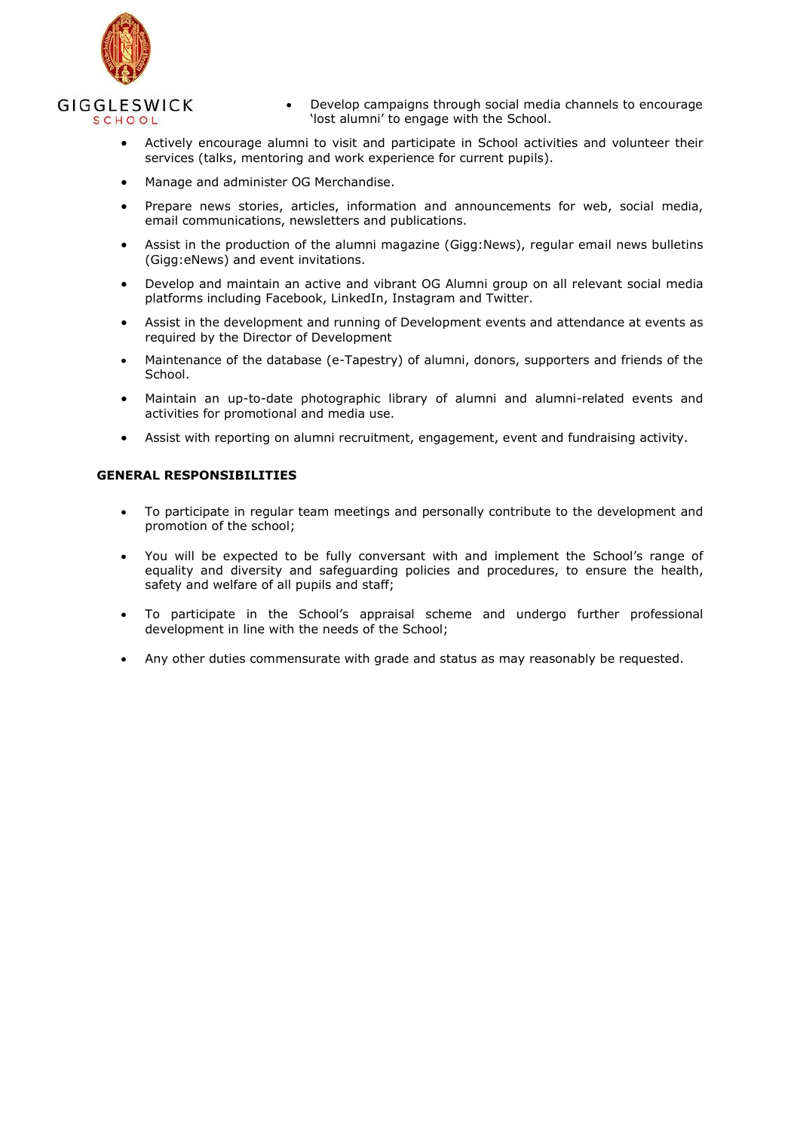

- Develop campaigns through social media channels to encourage 'lost alumni' to engage with the School.
- Actively encourage alumni to visit and participate in School activities and volunteer their services (talks, mentoring and work experience for current pupils).
- Manage and administer OG Merchandise.
- Prepare news stories, articles, information and announcements for web, social media, email communications, newsletters and publications.
- Assist in the production of the alumni magazine (Gigg:News), regular email news bulletins (Gigg:eNews) and event invitations.
- Develop and maintain an active and vibrant OG Alumni group on all relevant social media platforms including Facebook, LinkedIn, Instagram and Twitter.
- Assist in the development and running of Development events and attendance at events as required by the Director of Development
- Maintenance of the database (e-Tapestry) of alumni, donors, supporters and friends of the School.
- Maintain an up-to-date photographic library of alumni and alumni-related events and activities for promotional and media use.
- Assist with reporting on alumni recruitment, engagement, event and fundraising activity.

## **GENERAL RESPONSIBILITIES**

- To participate in regular team meetings and personally contribute to the development and promotion of the school;
- You will be expected to be fully conversant with and implement the School's range of equality and diversity and safeguarding policies and procedures, to ensure the health, safety and welfare of all pupils and staff;
- To participate in the School's appraisal scheme and undergo further professional development in line with the needs of the School;
- Any other duties commensurate with grade and status as may reasonably be requested.